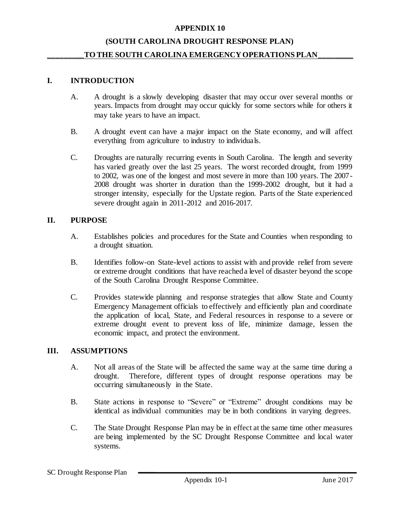#### **(SOUTH CAROLINA DROUGHT RESPONSE PLAN)**

#### TO THE SOUTH CAROLINA EMERGENCY OPERATIONS PLAN\_

#### **I. INTRODUCTION**

- A. A drought is a slowly developing disaster that may occur over several months or years. Impacts from drought may occur quickly for some sectors while for others it may take years to have an impact.
- B. A drought event can have a major impact on the State economy, and will affect everything from agriculture to industry to individuals.
- C. Droughts are naturally recurring events in South Carolina. The length and severity has varied greatly over the last 25 years. The worst recorded drought, from 1999 to 2002, was one of the longest and most severe in more than 100 years. The 2007- 2008 drought was shorter in duration than the 1999-2002 drought, but it had a stronger intensity, especially for the Upstate region. Parts of the State experienced severe drought again in 2011-2012 and 2016-2017.

#### **II. PURPOSE**

- A. Establishes policies and procedures for the State and Counties when responding to a drought situation.
- B. Identifies follow-on State-level actions to assist with and provide relief from severe or extreme drought conditions that have reached a level of disaster beyond the scope of the South Carolina Drought Response Committee.
- C. Provides statewide planning and response strategies that allow State and County Emergency Management officials to effectively and efficiently plan and coordinate the application of local, State, and Federal resources in response to a severe or extreme drought event to prevent loss of life, minimize damage, lessen the economic impact, and protect the environment.

#### **III. ASSUMPTIONS**

- A. Not all areas of the State will be affected the same way at the same time during a drought. Therefore, different types of drought response operations may be occurring simultaneously in the State.
- B. State actions in response to "Severe" or "Extreme" drought conditions may be identical as individual communities may be in both conditions in varying degrees.
- C. The State Drought Response Plan may be in effect at the same time other measures are being implemented by the SC Drought Response Committee and local water systems.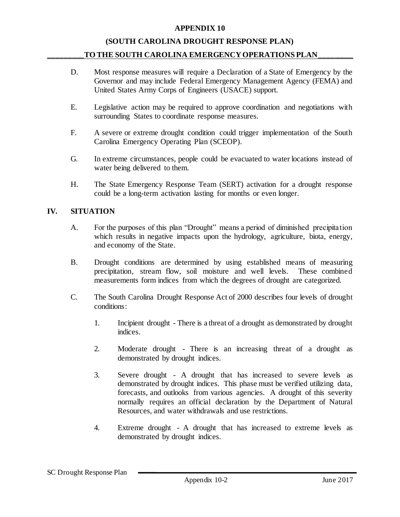#### **(SOUTH CAROLINA DROUGHT RESPONSE PLAN)**

#### TO THE SOUTH CAROLINA EMERGENCY OPERATIONS PLAN\_

- D. Most response measures will require a Declaration of a State of Emergency by the Governor and may include Federal Emergency Management Agency (FEMA) and United States Army Corps of Engineers (USACE) support.
- E. Legislative action may be required to approve coordination and negotiations with surrounding States to coordinate response measures.
- F. A severe or extreme drought condition could trigger implementation of the South Carolina Emergency Operating Plan (SCEOP).
- G. In extreme circumstances, people could be evacuated to water locations instead of water being delivered to them.
- H. The State Emergency Response Team (SERT) activation for a drought response could be a long-term activation lasting for months or even longer.

#### **IV. SITUATION**

- A. For the purposes of this plan "Drought" means a period of diminished precipitation which results in negative impacts upon the hydrology, agriculture, biota, energy, and economy of the State.
- B. Drought conditions are determined by using established means of measuring precipitation, stream flow, soil moisture and well levels. These combined measurements form indices from which the degrees of drought are categorized.
- C. The South Carolina Drought Response Act of 2000 describes four levels of drought conditions:
	- 1. Incipient drought There is a threat of a drought as demonstrated by drought indices.
	- 2. Moderate drought There is an increasing threat of a drought as demonstrated by drought indices.
	- 3. Severe drought A drought that has increased to severe levels as demonstrated by drought indices. This phase must be verified utilizing data, forecasts, and outlooks from various agencies. A drought of this severity normally requires an official declaration by the Department of Natural Resources, and water withdrawals and use restrictions.
	- 4. Extreme drought A drought that has increased to extreme levels as demonstrated by drought indices.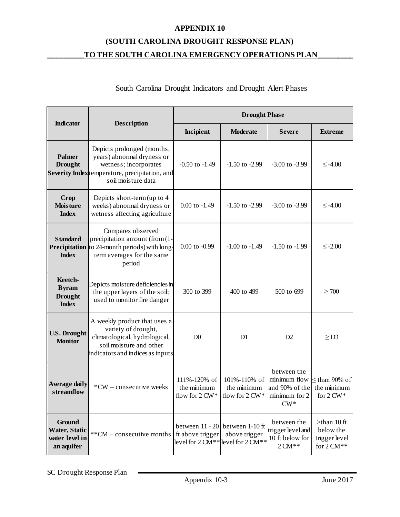## **(SOUTH CAROLINA DROUGHT RESPONSE PLAN) \_\_\_\_\_\_\_\_\_TO THE SOUTH CAROLINA EMERGENCY OPERATIONS PLAN\_\_\_\_\_\_\_\_\_**

### South Carolina Drought Indicators and Drought Alert Phases

|                                                                | <b>Description</b>                                                                                                                                               | <b>Drought Phase</b>                                                                           |                             |                                                                          |                                                            |
|----------------------------------------------------------------|------------------------------------------------------------------------------------------------------------------------------------------------------------------|------------------------------------------------------------------------------------------------|-----------------------------|--------------------------------------------------------------------------|------------------------------------------------------------|
| <b>Indicator</b>                                               |                                                                                                                                                                  | Incipient                                                                                      | <b>Moderate</b>             | <b>Severe</b>                                                            | <b>Extreme</b>                                             |
| <b>Palmer</b><br><b>Drought</b>                                | Depicts prolonged (months,<br>years) abnormal dryness or<br>wetness; incorporates<br><b>Severity Index</b> temperature, precipitation, and<br>soil moisture data | $-0.50$ to $-1.49$                                                                             | $-1.50$ to $-2.99$          | $-3.00$ to $-3.99$                                                       | $\leq -4.00$                                               |
| <b>Crop</b><br><b>Moisture</b><br><b>Index</b>                 | Depicts short-term (up to 4<br>weeks) abnormal dryness or<br>wetness affecting agriculture                                                                       | $0.00$ to $-1.49$                                                                              | $-1.50$ to $-2.99$          | $-3.00$ to $-3.99$                                                       | $\leq -4.00$                                               |
| <b>Standard</b><br>Precipitation<br><b>Index</b>               | Compares observed<br>precipitation amount (from (1-<br>to 24-month periods) with long-<br>term averages for the same<br>period                                   | $0.00$ to $-0.99$                                                                              | $-1.00$ to $-1.49$          | $-1.50$ to $-1.99$                                                       | $\leq$ -2.00                                               |
| Keetch-<br><b>Byram</b><br><b>Drought</b><br><b>Index</b>      | Depicts moisture deficiencies in<br>the upper layers of the soil;<br>used to monitor fire danger                                                                 | 300 to 399                                                                                     | 400 to 499                  | 500 to 699                                                               | $\geq 700$                                                 |
| <b>U.S. Drought</b><br><b>Monitor</b>                          | A weekly product that uses a<br>variety of drought,<br>climatological, hydrological,<br>soil moisture and other<br>indicators and indices as inputs              | D <sub>0</sub>                                                                                 | D1                          | D2                                                                       | $\geq$ D3                                                  |
| <b>Average daily</b><br>streamflow                             | *CW - consecutive weeks                                                                                                                                          | 111%-120% of<br>the minimum<br>flow for $2 \text{ CW}^*$ flow for $2 \text{ CW}^*$             | 101%-110% of<br>the minimum | between the<br>minimum flow<br>and 90% of the<br>minimum for 2<br>$CW^*$ | $\leq$ than 90% of<br>the minimum<br>for $2 \text{ CW}$ *  |
| <b>Ground</b><br>Water, Static<br>water level in<br>an aquifer | **CM – consecutive months                                                                                                                                        | between $11 - 20$ between 1-10 ft<br>ft above trigger<br>level for $2 CM**$ level for $2 CM**$ | above trigger               | between the<br>trigger level and<br>10 ft below for<br>$2 CM**$          | $>$ than 10 ft<br>below the<br>trigger level<br>for 2 CM** |

SC Drought Response Plan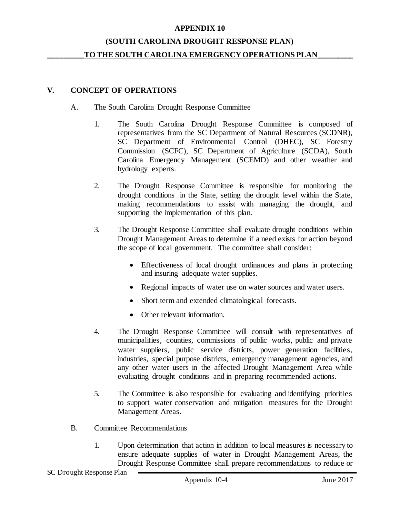#### **(SOUTH CAROLINA DROUGHT RESPONSE PLAN)**

#### TO THE SOUTH CAROLINA EMERGENCY OPERATIONS PLAN

#### **V. CONCEPT OF OPERATIONS**

- A. The South Carolina Drought Response Committee
	- 1. The South Carolina Drought Response Committee is composed of representatives from the SC Department of Natural Resources (SCDNR), SC Department of Environmental Control (DHEC), SC Forestry Commission (SCFC), SC Department of Agriculture (SCDA), South Carolina Emergency Management (SCEMD) and other weather and hydrology experts.
	- 2. The Drought Response Committee is responsible for monitoring the drought conditions in the State, setting the drought level within the State, making recommendations to assist with managing the drought, and supporting the implementation of this plan.
	- 3. The Drought Response Committee shall evaluate drought conditions within Drought Management Areas to determine if a need exists for action beyond the scope of local government. The committee shall consider:
		- Effectiveness of local drought ordinances and plans in protecting and insuring adequate water supplies.
		- Regional impacts of water use on water sources and water users.
		- Short term and extended climatological forecasts.
		- Other relevant information.
	- 4. The Drought Response Committee will consult with representatives of municipalities, counties, commissions of public works, public and private water suppliers, public service districts, power generation facilities, industries, special purpose districts, emergency management agencies, and any other water users in the affected Drought Management Area while evaluating drought conditions and in preparing recommended actions.
	- 5. The Committee is also responsible for evaluating and identifying priorities to support water conservation and mitigation measures for the Drought Management Areas.
- B. Committee Recommendations
	- 1. Upon determination that action in addition to local measures is necessary to ensure adequate supplies of water in Drought Management Areas, the Drought Response Committee shall prepare recommendations to reduce or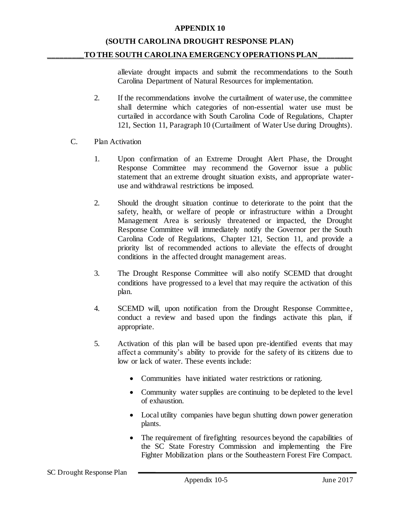# **(SOUTH CAROLINA DROUGHT RESPONSE PLAN)**

#### TO THE SOUTH CAROLINA EMERGENCY OPERATIONS PLAN

alleviate drought impacts and submit the recommendations to the South Carolina Department of Natural Resources for implementation.

- 2. If the recommendations involve the curtailment of water use, the committee shall determine which categories of non-essential water use must be curtailed in accordance with South Carolina Code of Regulations, Chapter 121, Section 11, Paragraph 10 (Curtailment of Water Use during Droughts).
- C. Plan Activation
	- 1. Upon confirmation of an Extreme Drought Alert Phase, the Drought Response Committee may recommend the Governor issue a public statement that an extreme drought situation exists, and appropriate wateruse and withdrawal restrictions be imposed.
	- 2. Should the drought situation continue to deteriorate to the point that the safety, health, or welfare of people or infrastructure within a Drought Management Area is seriously threatened or impacted, the Drought Response Committee will immediately notify the Governor per the South Carolina Code of Regulations, Chapter 121, Section 11, and provide a priority list of recommended actions to alleviate the effects of drought conditions in the affected drought management areas.
	- 3. The Drought Response Committee will also notify SCEMD that drought conditions have progressed to a level that may require the activation of this plan.
	- 4. SCEMD will, upon notification from the Drought Response Committee, conduct a review and based upon the findings activate this plan, if appropriate.
	- 5. Activation of this plan will be based upon pre-identified events that may affect a community's ability to provide for the safety of its citizens due to low or lack of water. These events include:
		- Communities have initiated water restrictions or rationing.
		- Community water supplies are continuing to be depleted to the level of exhaustion.
		- Local utility companies have begun shutting down power generation plants.
		- The requirement of firefighting resources beyond the capabilities of the SC State Forestry Commission and implementing the Fire Fighter Mobilization plans or the Southeastern Forest Fire Compact.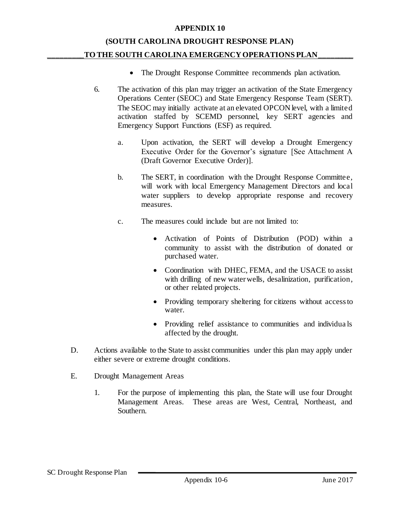### **(SOUTH CAROLINA DROUGHT RESPONSE PLAN)** TO THE SOUTH CAROLINA EMERGENCY OPERATIONS PLAN

- The Drought Response Committee recommends plan activation.
- 6. The activation of this plan may trigger an activation of the State Emergency Operations Center (SEOC) and State Emergency Response Team (SERT). The SEOC may initially activate at an elevated OPCON level, with a limited activation staffed by SCEMD personnel, key SERT agencies and Emergency Support Functions (ESF) as required.
	- a. Upon activation, the SERT will develop a Drought Emergency Executive Order for the Governor's signature [See Attachment A (Draft Governor Executive Order)].
	- b. The SERT, in coordination with the Drought Response Committee, will work with local Emergency Management Directors and local water suppliers to develop appropriate response and recovery measures.
	- c. The measures could include but are not limited to:
		- Activation of Points of Distribution (POD) within a community to assist with the distribution of donated or purchased water.
		- Coordination with DHEC, FEMA, and the USACE to assist with drilling of new water wells, desalinization, purification, or other related projects.
		- Providing temporary sheltering for citizens without access to water.
		- Providing relief assistance to communities and individuals affected by the drought.
- D. Actions available to the State to assist communities under this plan may apply under either severe or extreme drought conditions.
- E. Drought Management Areas
	- 1. For the purpose of implementing this plan, the State will use four Drought Management Areas. These areas are West, Central, Northeast, and Southern.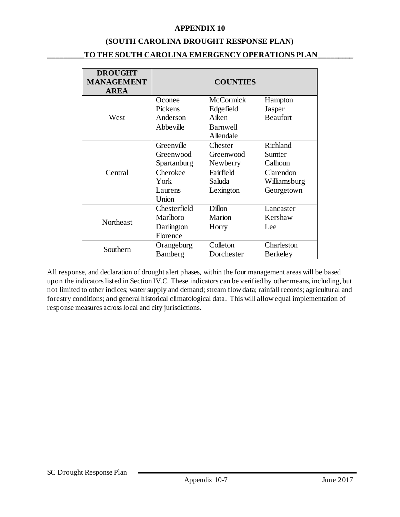#### **(SOUTH CAROLINA DROUGHT RESPONSE PLAN)**

### **\_\_\_\_\_\_\_\_\_TO THE SOUTH CAROLINA EMERGENCY OPERATIONS PLAN\_\_\_\_\_\_\_\_\_**

| <b>DROUGHT</b><br><b>MANAGEMENT</b><br><b>AREA</b> | <b>COUNTIES</b> |                  |                 |  |
|----------------------------------------------------|-----------------|------------------|-----------------|--|
|                                                    | Oconee          | <b>McCormick</b> | Hampton         |  |
|                                                    | Pickens         | Edgefield        | Jasper          |  |
| West                                               | Anderson        | Aiken            | <b>Beaufort</b> |  |
|                                                    | Abbeville       | Barnwell         |                 |  |
|                                                    |                 | Allendale        |                 |  |
|                                                    | Greenville      | Chester          | Richland        |  |
|                                                    | Greenwood       | Greenwood        | Sumter          |  |
|                                                    | Spartanburg     | Newberry         | Calhoun         |  |
| Central                                            | Cherokee        | Fairfield        | Clarendon       |  |
|                                                    | York            | Saluda           | Williamsburg    |  |
|                                                    | Laurens         | Lexington        | Georgetown      |  |
|                                                    | Union           |                  |                 |  |
|                                                    | Chesterfield    | Dillon           | Lancaster       |  |
| Northeast                                          | Marlboro        | Marion           | Kershaw         |  |
|                                                    | Darlington      | Horry            | Lee             |  |
|                                                    | Florence        |                  |                 |  |
| Southern                                           | Orangeburg      | Colleton         | Charleston      |  |
|                                                    | Bamberg         | Dorchester       | Berkeley        |  |

All response, and declaration of drought alert phases, within the four management areas will be based upon the indicators listed in Section IV.C. These indicators can be verified by other means, including, but not limited to other indices; water supply and demand; stream flow data; rainfall records; agricultural and forestry conditions; and general historical climatological data. This will allow equal implementation of response measures across local and city jurisdictions.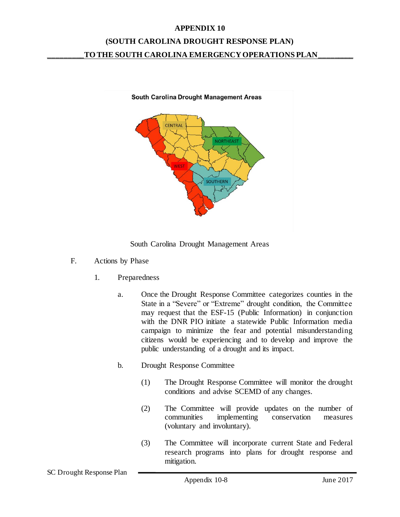# **(SOUTH CAROLINA DROUGHT RESPONSE PLAN) \_\_\_\_\_\_\_\_\_TO THE SOUTH CAROLINA EMERGENCY OPERATIONS PLAN\_\_\_\_\_\_\_\_\_**





- F. Actions by Phase
	- 1. Preparedness
		- a. Once the Drought Response Committee categorizes counties in the State in a "Severe" or "Extreme" drought condition, the Committee may request that the ESF-15 (Public Information) in conjunction with the DNR PIO initiate a statewide Public Information media campaign to minimize the fear and potential misunderstanding citizens would be experiencing and to develop and improve the public understanding of a drought and its impact.
		- b. Drought Response Committee
			- (1) The Drought Response Committee will monitor the drought conditions and advise SCEMD of any changes.
			- (2) The Committee will provide updates on the number of communities implementing conservation measures (voluntary and involuntary).
			- (3) The Committee will incorporate current State and Federal research programs into plans for drought response and mitigation.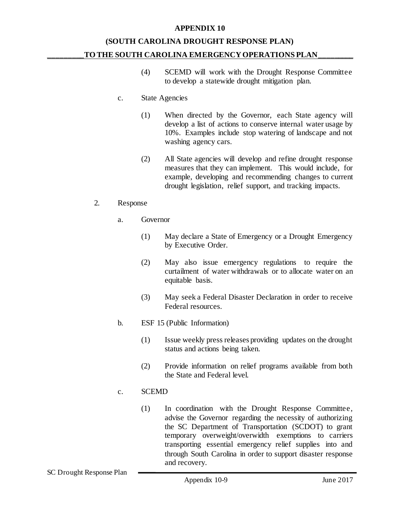### **(SOUTH CAROLINA DROUGHT RESPONSE PLAN)** TO THE SOUTH CAROLINA EMERGENCY OPERATIONS PLAN\_

- (4) SCEMD will work with the Drought Response Committee to develop a statewide drought mitigation plan.
- c. State Agencies
	- (1) When directed by the Governor, each State agency will develop a list of actions to conserve internal water usage by 10%. Examples include stop watering of landscape and not washing agency cars.
	- (2) All State agencies will develop and refine drought response measures that they can implement. This would include, for example, developing and recommending changes to current drought legislation, relief support, and tracking impacts.

#### 2. Response

- a. Governor
	- (1) May declare a State of Emergency or a Drought Emergency by Executive Order.
	- (2) May also issue emergency regulations to require the curtailment of water withdrawals or to allocate water on an equitable basis.
	- (3) May seek a Federal Disaster Declaration in order to receive Federal resources.
- b. ESF 15 (Public Information)
	- (1) Issue weekly press releases providing updates on the drought status and actions being taken.
	- (2) Provide information on relief programs available from both the State and Federal level.

### c. SCEMD

(1) In coordination with the Drought Response Committee, advise the Governor regarding the necessity of authorizing the SC Department of Transportation (SCDOT) to grant temporary overweight/overwidth exemptions to carriers transporting essential emergency relief supplies into and through South Carolina in order to support disaster response and recovery.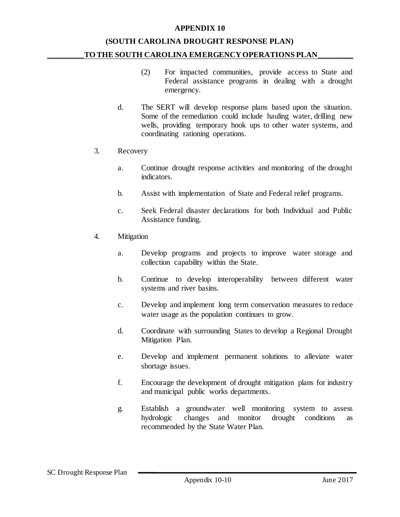## **(SOUTH CAROLINA DROUGHT RESPONSE PLAN)** TO THE SOUTH CAROLINA EMERGENCY OPERATIONS PLAN

- (2) For impacted communities, provide access to State and Federal assistance programs in dealing with a drought emergency.
- d. The SERT will develop response plans based upon the situation. Some of the remediation could include hauling water, drilling new wells, providing temporary hook ups to other water systems, and coordinating rationing operations.
- 3. Recovery
	- a. Continue drought response activities and monitoring of the drought indicators.
	- b. Assist with implementation of State and Federal relief programs.
	- c. Seek Federal disaster declarations for both Individual and Public Assistance funding.
- 4. Mitigation
	- a. Develop programs and projects to improve water storage and collection capability within the State.
	- b. Continue to develop interoperability between different water systems and river basins.
	- c. Develop and implement long term conservation measures to reduce water usage as the population continues to grow.
	- d. Coordinate with surrounding States to develop a Regional Drought Mitigation Plan.
	- e. Develop and implement permanent solutions to alleviate water shortage issues.
	- f. Encourage the development of drought mitigation plans for industry and municipal public works departments.
	- g. Establish a groundwater well monitoring system to assess hydrologic changes and monitor drought conditions as recommended by the State Water Plan.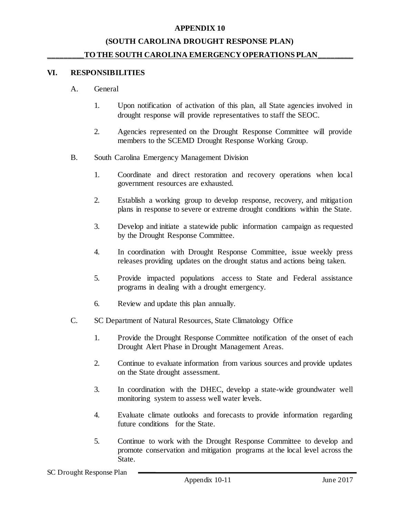#### **(SOUTH CAROLINA DROUGHT RESPONSE PLAN)**

#### TO THE SOUTH CAROLINA EMERGENCY OPERATIONS PLAN

#### **VI. RESPONSIBILITIES**

- A. General
	- 1. Upon notification of activation of this plan, all State agencies involved in drought response will provide representatives to staff the SEOC.
	- 2. Agencies represented on the Drought Response Committee will provide members to the SCEMD Drought Response Working Group.
- B. South Carolina Emergency Management Division
	- 1. Coordinate and direct restoration and recovery operations when local government resources are exhausted.
	- 2. Establish a working group to develop response, recovery, and mitigation plans in response to severe or extreme drought conditions within the State.
	- 3. Develop and initiate a statewide public information campaign as requested by the Drought Response Committee.
	- 4. In coordination with Drought Response Committee, issue weekly press releases providing updates on the drought status and actions being taken.
	- 5. Provide impacted populations access to State and Federal assistance programs in dealing with a drought emergency.
	- 6. Review and update this plan annually.
- C. SC Department of Natural Resources, State Climatology Office
	- 1. Provide the Drought Response Committee notification of the onset of each Drought Alert Phase in Drought Management Areas.
	- 2. Continue to evaluate information from various sources and provide updates on the State drought assessment.
	- 3. In coordination with the DHEC, develop a state-wide groundwater well monitoring system to assess well water levels.
	- 4. Evaluate climate outlooks and forecasts to provide information regarding future conditions for the State.
	- 5. Continue to work with the Drought Response Committee to develop and promote conservation and mitigation programs at the local level across the State.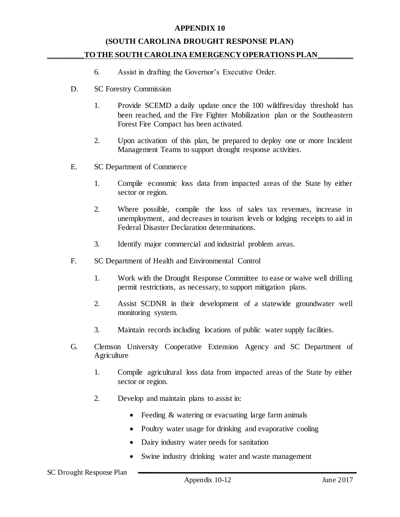#### **(SOUTH CAROLINA DROUGHT RESPONSE PLAN)**

#### **\_\_\_\_\_\_\_\_\_TO THE SOUTH CAROLINA EMERGENCY OPERATIONS PLAN\_\_\_\_\_\_\_\_\_**

- 6. Assist in drafting the Governor's Executive Order.
- D. SC Forestry Commission
	- 1. Provide SCEMD a daily update once the 100 wildfires/day threshold has been reached, and the Fire Fighter Mobilization plan or the Southeastern Forest Fire Compact has been activated.
	- 2. Upon activation of this plan, be prepared to deploy one or more Incident Management Teams to support drought response activities.
- E. SC Department of Commerce
	- 1. Compile economic loss data from impacted areas of the State by either sector or region.
	- 2. Where possible, compile the loss of sales tax revenues, increase in unemployment, and decreases in tourism levels or lodging receipts to aid in Federal Disaster Declaration determinations.
	- 3. Identify major commercial and industrial problem areas.
- F. SC Department of Health and Environmental Control
	- 1. Work with the Drought Response Committee to ease or waive well drilling permit restrictions, as necessary, to support mitigation plans.
	- 2. Assist SCDNR in their development of a statewide groundwater well monitoring system.
	- 3. Maintain records including locations of public water supply facilities.
- G. Clemson University Cooperative Extension Agency and SC Department of **Agriculture** 
	- 1. Compile agricultural loss data from impacted areas of the State by either sector or region.
	- 2. Develop and maintain plans to assist in:
		- Feeding & watering or evacuating large farm animals
		- Poultry water usage for drinking and evaporative cooling
		- Dairy industry water needs for sanitation
		- Swine industry drinking water and waste management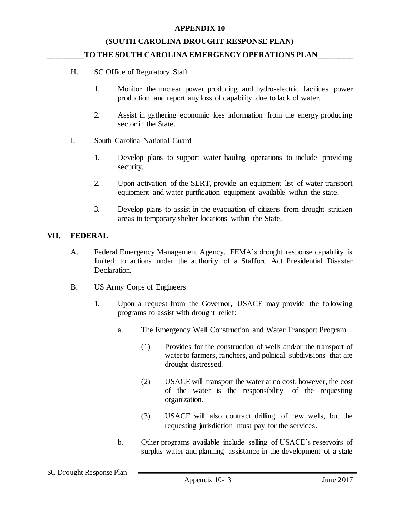#### **(SOUTH CAROLINA DROUGHT RESPONSE PLAN)**

#### TO THE SOUTH CAROLINA EMERGENCY OPERATIONS PLAN\_

- H. SC Office of Regulatory Staff
	- 1. Monitor the nuclear power producing and hydro-electric facilities power production and report any loss of capability due to lack of water.
	- 2. Assist in gathering economic loss information from the energy producing sector in the State.
- I. South Carolina National Guard
	- 1. Develop plans to support water hauling operations to include providing security.
	- 2. Upon activation of the SERT, provide an equipment list of water transport equipment and water purification equipment available within the state.
	- 3. Develop plans to assist in the evacuation of citizens from drought stricken areas to temporary shelter locations within the State.

#### **VII. FEDERAL**

- A. Federal Emergency Management Agency. FEMA's drought response capability is limited to actions under the authority of a Stafford Act Presidential Disaster Declaration.
- B. US Army Corps of Engineers
	- 1. Upon a request from the Governor, USACE may provide the following programs to assist with drought relief:
		- a. The Emergency Well Construction and Water Transport Program
			- (1) Provides for the construction of wells and/or the transport of water to farmers, ranchers, and political subdivisions that are drought distressed.
			- (2) USACE will transport the water at no cost; however, the cost of the water is the responsibility of the requesting organization.
			- (3) USACE will also contract drilling of new wells, but the requesting jurisdiction must pay for the services.
		- b. Other programs available include selling of USACE's reservoirs of surplus water and planning assistance in the development of a state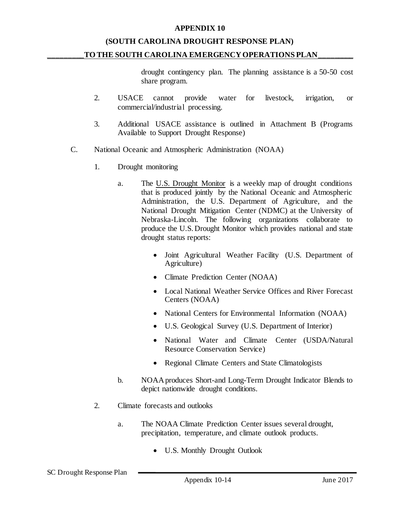#### **(SOUTH CAROLINA DROUGHT RESPONSE PLAN)**

#### TO THE SOUTH CAROLINA EMERGENCY OPERATIONS PLAN

drought contingency plan. The planning assistance is a 50-50 cost share program.

- 2. USACE cannot provide water for livestock, irrigation, or commercial/industrial processing.
- 3. Additional USACE assistance is outlined in Attachment B (Programs Available to Support Drought Response)
- C. National Oceanic and Atmospheric Administration (NOAA)
	- 1. Drought monitoring
		- a. The U.S. Drought Monitor is a weekly map of drought conditions that is produced jointly by the National Oceanic and Atmospheric Administration, the U.S. Department of Agriculture, and the National Drought Mitigation Center (NDMC) at the University of Nebraska-Lincoln. The following organizations collaborate to produce the U.S. Drought Monitor which provides national and state drought status reports:
			- [Joint Agricultural Weather Facility](http://www.usda.gov/oce/weather/index.htm) [\(U.S. Department of](http://www.usda.gov/)  [Agriculture\)](http://www.usda.gov/)
			- [Climate Prediction Center](http://www.cpc.ncep.noaa.gov/) (NOAA)
			- Local National Weather Service Offices and River Forecast Centers (NOAA)
			- National Centers for Environmental Information (NOAA)
			- [U.S. Geological](http://www.usgs.gov/) Survey [\(U.S. Department of Interior\)](http://www.doi.gov/)
			- [National Water and Climate Center](http://www.wcc.nrcs.usda.gov/) (USDA/Natural [Resource Conservation Service\)](http://www.nrcs.usda.gov/)
			- [Regional Climate Centers](http://www.ncdc.noaa.gov/regionalclimatecenters.html) and State Climatologists
		- b. NOAA produces Short-and Long-Term Drought Indicator Blends to depict nationwide drought conditions.
	- 2. Climate forecasts and outlooks
		- a. The NOAA Climate Prediction Center issues several drought, precipitation, temperature, and climate outlook products.
			- U.S. Monthly Drought Outlook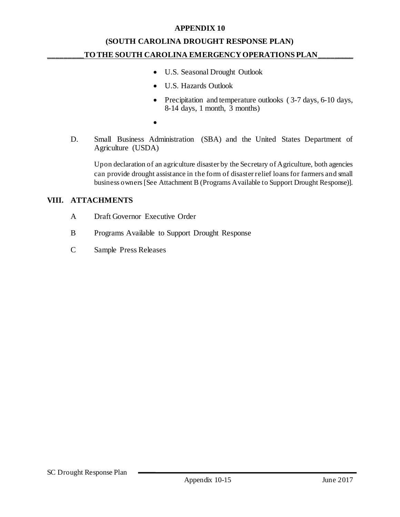## **(SOUTH CAROLINA DROUGHT RESPONSE PLAN) \_\_\_\_\_\_\_\_\_TO THE SOUTH CAROLINA EMERGENCY OPERATIONS PLAN\_\_\_\_\_\_\_\_\_**

- U.S. Seasonal Drought Outlook
- U.S. Hazards Outlook
- Precipitation and temperature outlooks (3-7 days, 6-10 days,  $8-14$  days, 1 month,  $\overline{3}$  months)
- $\bullet$
- D. Small Business Administration (SBA) and the United States Department of Agriculture (USDA)

Upon declaration of an agriculture disaster by the Secretary of Agriculture, both agencies can provide drought assistance in the form of disaster relief loans for farmers and small business owners [See Attachment B (Programs Available to Support Drought Response)].

#### **VIII. ATTACHMENTS**

- A Draft Governor Executive Order
- B Programs Available to Support Drought Response
- C Sample Press Releases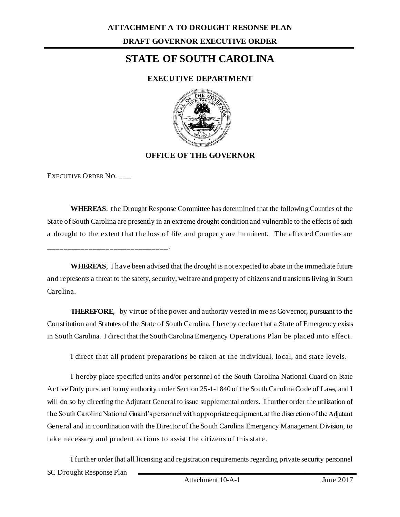# **STATE OF SOUTH CAROLINA**

### **EXECUTIVE DEPARTMENT**



### **OFFICE OF THE GOVERNOR**

EXECUTIVE ORDER NO. \_\_\_

\_\_\_\_\_\_\_\_\_\_\_\_\_\_\_\_\_\_\_\_\_\_\_\_\_\_\_\_\_.

**WHEREAS**, the Drought Response Committee has determined that the following Counties of the State of South Carolina are presently in an extreme drought condition and vulnerable to the effects of such a drought to the extent that the loss of life and property are imminent. The affected Counties are

**WHEREAS**, I have been advised that the drought is not expected to abate in the immediate future and represents a threat to the safety, security, welfare and property of citizens and transients living in South Carolina.

**THEREFORE**, by virtue of the power and authority vested in me as Governor, pursuant to the Constitution and Statutes of the State of South Carolina, I hereby declare that a State of Emergency exists in South Carolina. I direct that the South Carolina Emergency Operations Plan be placed into effect.

I direct that all prudent preparations be taken at the individual, local, and state levels.

I hereby place specified units and/or personnel of the South Carolina National Guard on State Active Duty pursuant to my authority under Section 25-1-1840 of the South Carolina Code of Laws, and I will do so by directing the Adjutant General to issue supplemental orders. I further order the utilization of the South Carolina National Guard's personnel with appropriate equipment, at the discretion of the Adjutant General and in coordination with the Director of the South Carolina Emergency Management Division, to take necessary and prudent actions to assist the citizens of this state.

SC Drought Response Plan I further order that all licensing and registration requirements regarding private security personnel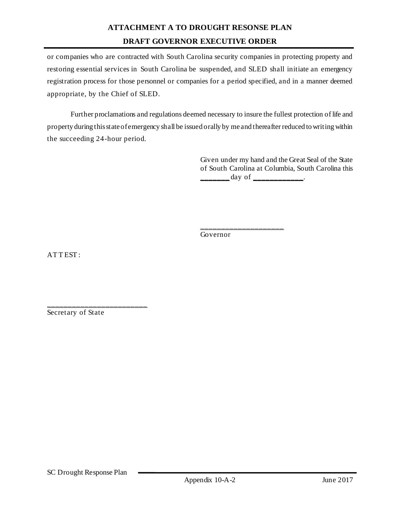## **ATTACHMENT A TO DROUGHT RESONSE PLAN DRAFT GOVERNOR EXECUTIVE ORDER**

or companies who are contracted with South Carolina security companies in protecting property and restoring essential services in South Carolina be suspended, and SLED shall initiate an emergency registration process for those personnel or companies for a period specified, and in a manner deemed appropriate, by the Chief of SLED.

Further proclamations and regulations deemed necessary to insure the fullest protection of life and property during this state of emergency shall be issued orally by me and thereafter reduced to writing within the succeeding 24-hour period.

> Given under my hand and the Great Seal of the State of South Carolina at Columbia, South Carolina this  $\frac{day \text{ of }$

Governor

\_\_\_\_\_\_\_\_\_\_\_\_\_\_\_\_\_\_\_\_

ATTEST:

Secretary of State

\_\_\_\_\_\_\_\_\_\_\_\_\_\_\_\_\_\_\_\_\_\_\_\_\_\_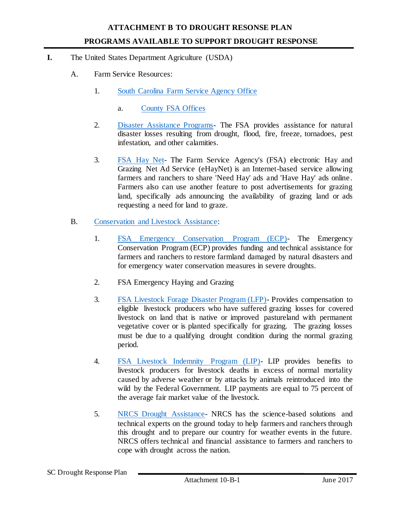- **I.** The United States Department Agriculture (USDA)
	- A. Farm Service Resources:
		- 1. [South Carolina Farm Service Agency Office](https://www.fsa.usda.gov/state-offices/South-Carolina/index)
			- a. [County FSA Offices](https://offices.sc.egov.usda.gov/locator/app?state=sc&agency=fsa)
		- 2. [Disaster Assistance Programs-](https://www.fsa.usda.gov/programs-and-services/disaster-assistance-program/index) The FSA provides assistance for natural disaster losses resulting from drought, flood, fire, freeze, tornadoes, pest infestation, and other calamities.
		- 3. [FSA Hay Net-](https://www.fsa.usda.gov/FSA/webapp?area=online&subject=landing&topic=hay) The Farm Service Agency's (FSA) electronic Hay and Grazing Net Ad Service (eHayNet) is an Internet-based service allowing farmers and ranchers to share 'Need Hay' ads and 'Have Hay' ads online. Farmers also can use another feature to post advertisements for grazing land, specifically ads announcing the availability of grazing land or ads requesting a need for land to graze.
	- B. [Conservation and Livestock Assistance:](https://www.fsa.usda.gov/programs-and-services/conservation-programs/index)
		- 1. [FSA Emergency Conservation Program \(ECP\)-](https://www.fsa.usda.gov/programs-and-services/conservation-programs/emergency-conservation/index) The Emergency Conservation Program (ECP) provides funding and technical assistance for farmers and ranchers to restore farmland damaged by natural disasters and for emergency water conservation measures in severe droughts.
		- 2. FSA Emergency Haying and Grazing
		- 3. [FSA Livestock Forage Disaster Program \(LFP\)-](https://www.fsa.usda.gov/Assets/USDA-FSA-Public/usdafiles/FactSheets/2017/livestock_forage_disaster_program_april2017.pdf) Provides compensation to eligible livestock producers who have suffered grazing losses for covered livestock on land that is native or improved pastureland with permanent vegetative cover or is planted specifically for grazing. The grazing losses must be due to a qualifying drought condition during the normal grazing period.
		- 4. [FSA Livestock Indemnity Program \(LIP\)-](https://www.fsa.usda.gov/programs-and-services/disaster-assistance-program/livestock-indemnity/index) LIP provides benefits to livestock producers for livestock deaths in excess of normal mortality caused by adverse weather or by attacks by animals reintroduced into the wild by the Federal Government. LIP payments are equal to 75 percent of the average fair market value of the livestock.
		- 5. [NRCS Drought Assistance-](https://www.nrcs.usda.gov/wps/portal/nrcs/detailfull/national/home/?cid=stelprdb1245689) NRCS has the science-based solutions and technical experts on the ground today to help farmers and ranchers through this drought and to prepare our country for weather events in the future. NRCS offers technical and financial assistance to farmers and ranchers to cope with drought across the nation.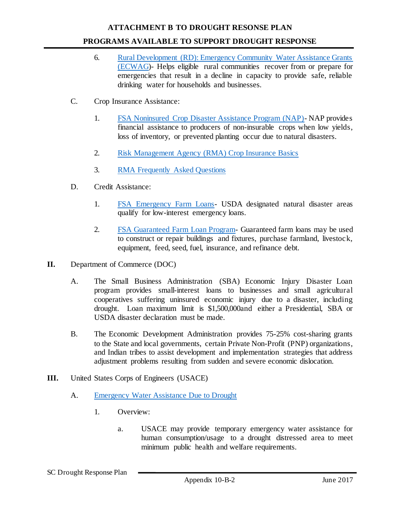#### **ATTACHMENT B TO DROUGHT RESONSE PLAN**

#### **PROGRAMS AVAILABLE TO SUPPORT DROUGHT RESPONSE**

- 6. [Rural Development \(RD\): Emergency Community Water Assistance Grants](https://www.rd.usda.gov/files/rdECWAG_Feb2014.pdf)  [\(ECWAG\)](https://www.rd.usda.gov/files/rdECWAG_Feb2014.pdf)- Helps eligible rural communities recover from or prepare for emergencies that result in a decline in capacity to provide safe, reliable drinking water for households and businesses.
- C. Crop Insurance Assistance:
	- 1. [FSA Noninsured Crop Disaster Assistance Program \(NAP\)-](https://www.fsa.usda.gov/programs-and-services/disaster-assistance-program/noninsured-crop-disaster-assistance/index) NAP provides financial assistance to producers of non-insurable crops when low yields, loss of inventory, or prevented planting occur due to natural disasters.
	- 2. [Risk Management Agency \(RMA\) Crop Insurance Basics](https://www.rma.usda.gov/help/faq/basics.html)
	- 3. [RMA Frequently Asked Questions](https://www.rma.usda.gov/help/faq/drought2012.html)
- D. Credit Assistance:
	- 1. [FSA Emergency Farm Loans-](https://www.fsa.usda.gov/programs-and-services/farm-loan-programs/index) USDA designated natural disaster areas qualify for low-interest emergency loans.
	- 2. [FSA Guaranteed Farm Loan Program-](https://www.fsa.usda.gov/Internet/FSA_File/guaranteed_farm_loans.pdf) Guaranteed farm loans may be used to construct or repair buildings and fixtures, purchase farmland, livestock, equipment, feed, seed, fuel, insurance, and refinance debt.
- **II.** Department of Commerce (DOC)
	- A. The Small Business Administration (SBA) Economic Injury Disaster Loan program provides small-interest loans to businesses and small agricultural cooperatives suffering uninsured economic injury due to a disaster, including drought. Loan maximum limit is \$1,500,000and either a Presidential, SBA or USDA disaster declaration must be made.
	- B. The Economic Development Administration provides 75-25% cost-sharing grants to the State and local governments, certain Private Non-Profit (PNP) organizations, and Indian tribes to assist development and implementation strategies that address adjustment problems resulting from sudden and severe economic dislocation.
- **III.** United States Corps of Engineers (USACE)
	- A. [Emergency Water Assistance Due to Drought](http://www.usace.army.mil/Missions/Emergency-Operations/Drought/)
		- 1. Overview:
			- a. USACE may provide temporary emergency water assistance for human consumption/usage to a drought distressed area to meet minimum public health and welfare requirements.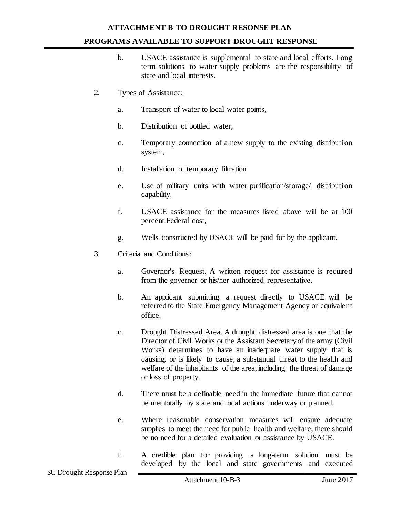## **ATTACHMENT B TO DROUGHT RESONSE PLAN PROGRAMS AVAILABLE TO SUPPORT DROUGHT RESPONSE**

- b. USACE assistance is supplemental to state and local efforts. Long term solutions to water supply problems are the responsibility of state and local interests.
- 2. Types of Assistance:
	- a. Transport of water to local water points,
	- b. Distribution of bottled water,
	- c. Temporary connection of a new supply to the existing distribution system,
	- d. Installation of temporary filtration
	- e. Use of military units with water purification/storage/ distribution capability.
	- f. USACE assistance for the measures listed above will be at 100 percent Federal cost,
	- g. Wells constructed by USACE will be paid for by the applicant.
- 3. Criteria and Conditions:
	- a. Governor's Request. A written request for assistance is required from the governor or his/her authorized representative.
	- b. An applicant submitting a request directly to USACE will be referred to the State Emergency Management Agency or equivalent office.
	- c. Drought Distressed Area. A drought distressed area is one that the Director of Civil Works or the Assistant Secretary of the army (Civil Works) determines to have an inadequate water supply that is causing, or is likely to cause, a substantial threat to the health and welfare of the inhabitants of the area, including the threat of damage or loss of property.
	- d. There must be a definable need in the immediate future that cannot be met totally by state and local actions underway or planned.
	- e. Where reasonable conservation measures will ensure adequate supplies to meet the need for public health and welfare, there should be no need for a detailed evaluation or assistance by USACE.
	- f. A credible plan for providing a long-term solution must be developed by the local and state governments and executed

SC Drought Response Plan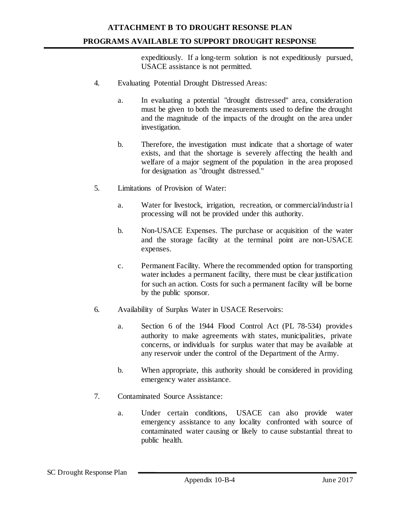### **ATTACHMENT B TO DROUGHT RESONSE PLAN PROGRAMS AVAILABLE TO SUPPORT DROUGHT RESPONSE**

expeditiously. If a long-term solution is not expeditiously pursued, USACE assistance is not permitted.

- 4. Evaluating Potential Drought Distressed Areas:
	- a. In evaluating a potential "drought distressed" area, consideration must be given to both the measurements used to define the drought and the magnitude of the impacts of the drought on the area under investigation.
	- b. Therefore, the investigation must indicate that a shortage of water exists, and that the shortage is severely affecting the health and welfare of a major segment of the population in the area proposed for designation as "drought distressed."
- 5. Limitations of Provision of Water:
	- a. Water for livestock, irrigation, recreation, or commercial/industr ia l processing will not be provided under this authority.
	- b. Non-USACE Expenses. The purchase or acquisition of the water and the storage facility at the terminal point are non-USACE expenses.
	- c. Permanent Facility. Where the recommended option for transporting water includes a permanent facility, there must be clear justification for such an action. Costs for such a permanent facility will be borne by the public sponsor.
- 6. Availability of Surplus Water in USACE Reservoirs:
	- a. Section 6 of the 1944 Flood Control Act (PL 78-534) provides authority to make agreements with states, municipalities, private concerns, or individuals for surplus water that may be available at any reservoir under the control of the Department of the Army.
	- b. When appropriate, this authority should be considered in providing emergency water assistance.
- 7. Contaminated Source Assistance:
	- a. Under certain conditions, USACE can also provide water emergency assistance to any locality confronted with source of contaminated water causing or likely to cause substantial threat to public health.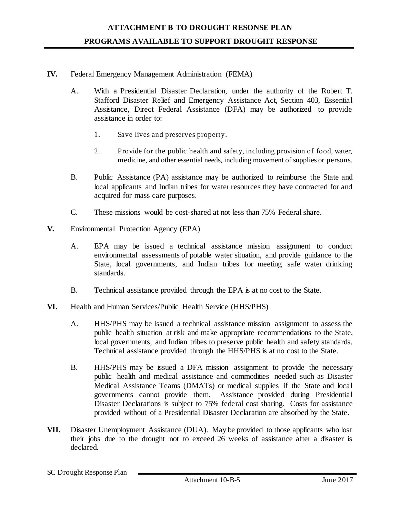#### **IV.** Federal Emergency Management Administration (FEMA)

- A. With a Presidential Disaster Declaration, under the authority of the Robert T. Stafford Disaster Relief and Emergency Assistance Act, Section 403, Essential Assistance, Direct Federal Assistance (DFA) may be authorized to provide assistance in order to:
	- 1. Save lives and preserves property.
	- 2. Provide for the public health and safety, including provision of food, water, medicine, and other essential needs, including movement of supplies or persons.
- B. Public Assistance (PA) assistance may be authorized to reimburse the State and local applicants and Indian tribes for water resources they have contracted for and acquired for mass care purposes.
- C. These missions would be cost-shared at not less than 75% Federal share.
- **V.** Environmental Protection Agency (EPA)
	- A. EPA may be issued a technical assistance mission assignment to conduct environmental assessments of potable water situation, and provide guidance to the State, local governments, and Indian tribes for meeting safe water drinking standards.
	- B. Technical assistance provided through the EPA is at no cost to the State.
- **VI.** Health and Human Services/Public Health Service (HHS/PHS)
	- A. HHS/PHS may be issued a technical assistance mission assignment to assess the public health situation at risk and make appropriate recommendations to the State, local governments, and Indian tribes to preserve public health and safety standards. Technical assistance provided through the HHS/PHS is at no cost to the State.
	- B. HHS/PHS may be issued a DFA mission assignment to provide the necessary public health and medical assistance and commodities needed such as Disaster Medical Assistance Teams (DMATs) or medical supplies if the State and local governments cannot provide them. Assistance provided during Presidential Disaster Declarations is subject to 75% federal cost sharing. Costs for assistance provided without of a Presidential Disaster Declaration are absorbed by the State.
- **VII.** Disaster Unemployment Assistance (DUA). May be provided to those applicants who lost their jobs due to the drought not to exceed 26 weeks of assistance after a disaster is declared.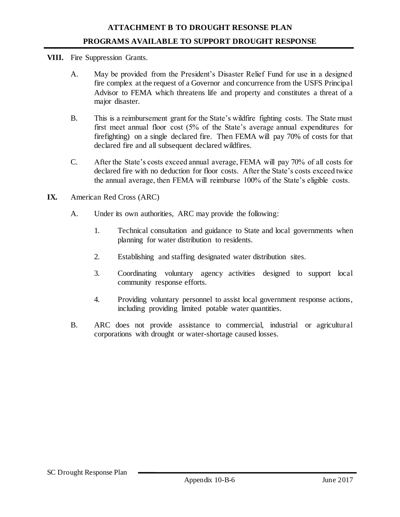- **VIII.** Fire Suppression Grants.
	- A. May be provided from the President's Disaster Relief Fund for use in a designed fire complex at the request of a Governor and concurrence from the USFS Principal Advisor to FEMA which threatens life and property and constitutes a threat of a major disaster.
	- B. This is a reimbursement grant for the State's wildfire fighting costs. The State must first meet annual floor cost (5% of the State's average annual expenditures for firefighting) on a single declared fire. Then FEMA will pay 70% of costs for that declared fire and all subsequent declared wildfires.
	- C. After the State's costs exceed annual average, FEMA will pay 70% of all costs for declared fire with no deduction for floor costs. After the State's costs exceed twice the annual average, then FEMA will reimburse 100% of the State's eligible costs.
- **IX.** American Red Cross (ARC)
	- A. Under its own authorities, ARC may provide the following:
		- 1. Technical consultation and guidance to State and local governments when planning for water distribution to residents.
		- 2. Establishing and staffing designated water distribution sites.
		- 3. Coordinating voluntary agency activities designed to support local community response efforts.
		- 4. Providing voluntary personnel to assist local government response actions, including providing limited potable water quantities.
	- B. ARC does not provide assistance to commercial, industrial or agricultural corporations with drought or water-shortage caused losses.